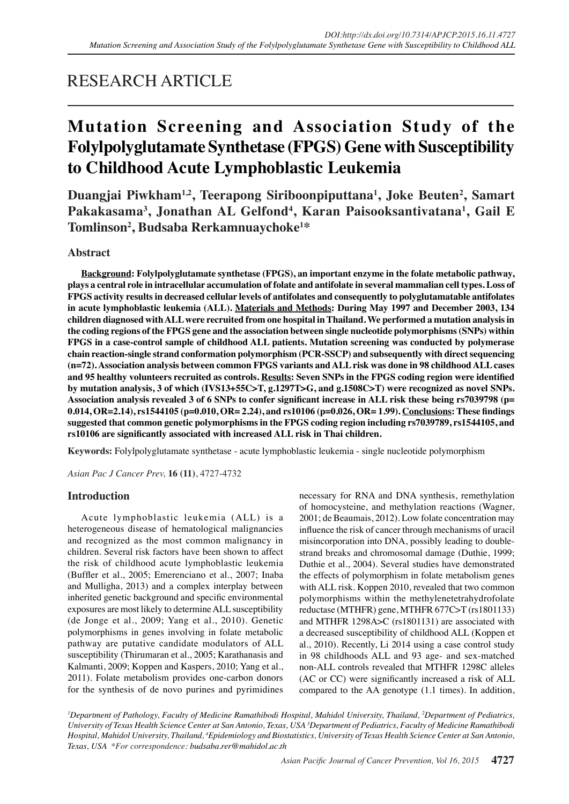# RESEARCH ARTICLE

# **Mutation Screening and Association Study of the Folylpolyglutamate Synthetase (FPGS) Gene with Susceptibility to Childhood Acute Lymphoblastic Leukemia**

Duangjai Piwkham<sup>1,2</sup>, Teerapong Siriboonpiputtana<sup>1</sup>, Joke Beuten<sup>2</sup>, Samart **Pakakasama3 , Jonathan AL Gelfond4 , Karan Paisooksantivatana1 , Gail E Tomlinson2 , Budsaba Rerkamnuaychoke1 \***

## **Abstract**

**Background: Folylpolyglutamate synthetase (FPGS), an important enzyme in the folate metabolic pathway, plays a central role in intracellular accumulation of folate and antifolate in several mammalian cell types. Loss of FPGS activity results in decreased cellular levels of antifolates and consequently to polyglutamatable antifolates in acute lymphoblastic leukemia (ALL). Materials and Methods: During May 1997 and December 2003, 134 children diagnosed with ALL were recruited from one hospital in Thailand. We performed a mutation analysis in the coding regions of the FPGS gene and the association between single nucleotide polymorphisms (SNPs) within FPGS in a case-control sample of childhood ALL patients. Mutation screening was conducted by polymerase chain reaction-single strand conformation polymorphism (PCR-SSCP) and subsequently with direct sequencing (n=72). Association analysis between common FPGS variants and ALL risk was done in 98 childhood ALL cases and 95 healthy volunteers recruited as controls. Results: Seven SNPs in the FPGS coding region were identified by mutation analysis, 3 of which (IVS13+55C>T, g.1297T>G, and g.1508C>T) were recognized as novel SNPs. Association analysis revealed 3 of 6 SNPs to confer significant increase in ALL risk these being rs7039798 (p= 0.014, OR=2.14), rs1544105 (p=0.010, OR= 2.24), and rs10106 (p=0.026, OR= 1.99). Conclusions: These findings suggested that common genetic polymorphisms in the FPGS coding region including rs7039789, rs1544105, and rs10106 are significantly associated with increased ALL risk in Thai children.**

**Keywords:** Folylpolyglutamate synthetase - acute lymphoblastic leukemia - single nucleotide polymorphism

*Asian Pac J Cancer Prev,* **16 (11)**, 4727-4732

## **Introduction**

Acute lymphoblastic leukemia (ALL) is a heterogeneous disease of hematological malignancies and recognized as the most common malignancy in children. Several risk factors have been shown to affect the risk of childhood acute lymphoblastic leukemia (Buffler et al., 2005; Emerenciano et al., 2007; Inaba and Mulligha, 2013) and a complex interplay between inherited genetic background and specific environmental exposures are most likely to determine ALL susceptibility (de Jonge et al., 2009; Yang et al., 2010). Genetic polymorphisms in genes involving in folate metabolic pathway are putative candidate modulators of ALL susceptibility (Thirumaran et al., 2005; Karathanasis and Kalmanti, 2009; Koppen and Kaspers, 2010; Yang et al., 2011). Folate metabolism provides one-carbon donors for the synthesis of de novo purines and pyrimidines

necessary for RNA and DNA synthesis, remethylation of homocysteine, and methylation reactions (Wagner, 2001; de Beaumais, 2012). Low folate concentration may influence the risk of cancer through mechanisms of uracil misincorporation into DNA, possibly leading to doublestrand breaks and chromosomal damage (Duthie, 1999; Duthie et al., 2004). Several studies have demonstrated the effects of polymorphism in folate metabolism genes with ALL risk. Koppen 2010, revealed that two common polymorphisms within the methylenetetrahydrofolate reductase (MTHFR) gene, MTHFR 677C>T (rs1801133) and MTHFR 1298A>C (rs1801131) are associated with a decreased susceptibility of childhood ALL (Koppen et al., 2010). Recently, Li 2014 using a case control study in 98 childhoods ALL and 93 age- and sex-matched non-ALL controls revealed that MTHFR 1298C alleles (AC or CC) were significantly increased a risk of ALL compared to the AA genotype (1.1 times). In addition,

*1 Department of Pathology, Faculty of Medicine Ramathibodi Hospital, Mahidol University, Thailand, 2 Department of Pediatrics, University of Texas Health Science Center at San Antonio, Texas, USA 3 Department of Pediatrics, Faculty of Medicine Ramathibodi Hospital, Mahidol University, Thailand, 4 Epidemiology and Biostatistics, University of Texas Health Science Center at San Antonio, Texas, USA \*For correspondence: budsaba.rer@mahidol.ac.th*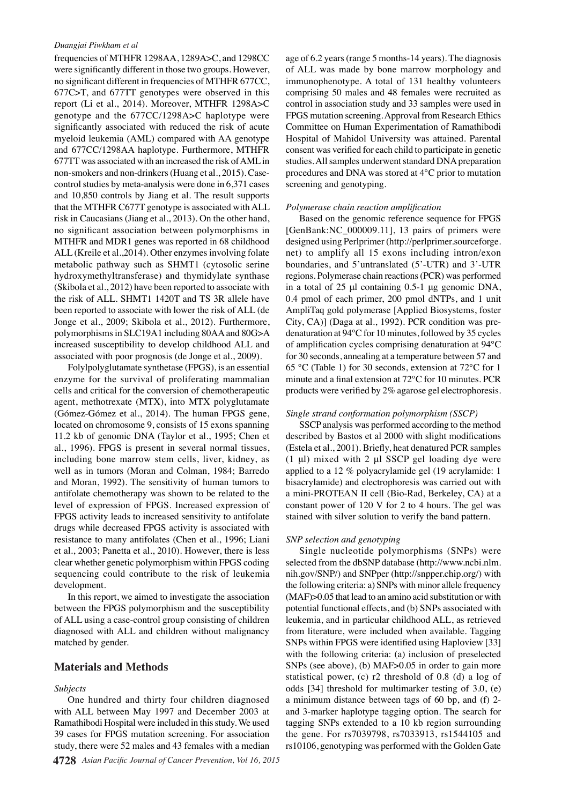#### *Duangjai Piwkham et al*

frequencies of MTHFR 1298AA, 1289A>C, and 1298CC were significantly different in those two groups. However, no significant different in frequencies of MTHFR 677CC, 677C>T, and 677TT genotypes were observed in this report (Li et al., 2014). Moreover, MTHFR 1298A>C genotype and the 677CC/1298A>C haplotype were significantly associated with reduced the risk of acute myeloid leukemia (AML) compared with AA genotype and 677CC/1298AA haplotype. Furthermore, MTHFR 677TT was associated with an increased the risk of AML in non-smokers and non-drinkers (Huang et al., 2015). Casecontrol studies by meta-analysis were done in 6,371 cases and 10,850 controls by Jiang et al. The result supports that the MTHFR C677T genotype is associated with ALL risk in Caucasians (Jiang et al., 2013). On the other hand, no significant association between polymorphisms in MTHFR and MDR1 genes was reported in 68 childhood ALL (Kreile et al.,2014). Other enzymes involving folate metabolic pathway such as SHMT1 (cytosolic serine hydroxymethyltransferase) and thymidylate synthase (Skibola et al., 2012) have been reported to associate with the risk of ALL. SHMT1 1420T and TS 3R allele have been reported to associate with lower the risk of ALL (de Jonge et al., 2009; Skibola et al., 2012). Furthermore, polymorphisms in SLC19A1 including 80AA and 80G>A increased susceptibility to develop childhood ALL and associated with poor prognosis (de Jonge et al., 2009).

Folylpolyglutamate synthetase (FPGS), is an essential enzyme for the survival of proliferating mammalian cells and critical for the conversion of chemotherapeutic agent, methotrexate (MTX), into MTX polyglutamate (Gómez-Gómez et al., 2014). The human FPGS gene, located on chromosome 9, consists of 15 exons spanning 11.2 kb of genomic DNA (Taylor et al., 1995; Chen et al., 1996). FPGS is present in several normal tissues, including bone marrow stem cells, liver, kidney, as well as in tumors (Moran and Colman, 1984; Barredo and Moran, 1992). The sensitivity of human tumors to antifolate chemotherapy was shown to be related to the level of expression of FPGS. Increased expression of FPGS activity leads to increased sensitivity to antifolate drugs while decreased FPGS activity is associated with resistance to many antifolates (Chen et al., 1996; Liani et al., 2003; Panetta et al., 2010). However, there is less clear whether genetic polymorphism within FPGS coding sequencing could contribute to the risk of leukemia development.

In this report, we aimed to investigate the association between the FPGS polymorphism and the susceptibility of ALL using a case-control group consisting of children diagnosed with ALL and children without malignancy matched by gender.

### **Materials and Methods**

#### *Subjects*

One hundred and thirty four children diagnosed with ALL between May 1997 and December 2003 at Ramathibodi Hospital were included in this study. We used 39 cases for FPGS mutation screening. For association study, there were 52 males and 43 females with a median age of 6.2 years (range 5 months-14 years). The diagnosis of ALL was made by bone marrow morphology and immunophenotype. A total of 131 healthy volunteers comprising 50 males and 48 females were recruited as control in association study and 33 samples were used in FPGS mutation screening. Approval from Research Ethics Committee on Human Experimentation of Ramathibodi Hospital of Mahidol University was attained. Parental consent was verified for each child to participate in genetic studies. All samples underwent standard DNA preparation procedures and DNA was stored at 4°C prior to mutation screening and genotyping.

#### *Polymerase chain reaction amplification*

Based on the genomic reference sequence for FPGS [GenBank:NC\_000009.11], 13 pairs of primers were designed using Perlprimer (http://perlprimer.sourceforge. net) to amplify all 15 exons including intron/exon boundaries, and 5'untranslated (5'-UTR) and 3'-UTR regions. Polymerase chain reactions (PCR) was performed in a total of 25 μl containing 0.5-1 μg genomic DNA, 0.4 pmol of each primer, 200 pmol dNTPs, and 1 unit AmpliTaq gold polymerase [Applied Biosystems, foster City, CA)] (Daga at al., 1992). PCR condition was predenaturation at 94°C for 10 minutes, followed by 35 cycles of amplification cycles comprising denaturation at 94°C for 30 seconds, annealing at a temperature between 57 and 65 °C (Table 1) for 30 seconds, extension at 72°C for 1 minute and a final extension at 72°C for 10 minutes. PCR products were verified by 2% agarose gel electrophoresis.

#### *Single strand conformation polymorphism (SSCP)*

SSCP analysis was performed according to the method described by Bastos et al 2000 with slight modifications (Estela et al., 2001). Briefly, heat denatured PCR samples (1  $\mu$ l) mixed with 2  $\mu$ l SSCP gel loading dye were applied to a 12 % polyacrylamide gel (19 acrylamide: 1 bisacrylamide) and electrophoresis was carried out with a mini-PROTEAN II cell (Bio-Rad, Berkeley, CA) at a constant power of 120 V for 2 to 4 hours. The gel was stained with silver solution to verify the band pattern.

#### *SNP selection and genotyping*

Single nucleotide polymorphisms (SNPs) were selected from the dbSNP database (http://www.ncbi.nlm. nih.gov/SNP/) and SNPper (http://snpper.chip.org/) with the following criteria: a) SNPs with minor allele frequency (MAF)>0.05 that lead to an amino acid substitution or with potential functional effects, and (b) SNPs associated with leukemia, and in particular childhood ALL, as retrieved from literature, were included when available. Tagging SNPs within FPGS were identified using Haploview [33] with the following criteria: (a) inclusion of preselected SNPs (see above), (b) MAF>0.05 in order to gain more statistical power, (c) r2 threshold of 0.8 (d) a log of odds [34] threshold for multimarker testing of 3.0, (e) a minimum distance between tags of 60 bp, and (f) 2 and 3-marker haplotype tagging option. The search for tagging SNPs extended to a 10 kb region surrounding the gene. For rs7039798, rs7033913, rs1544105 and rs10106, genotyping was performed with the Golden Gate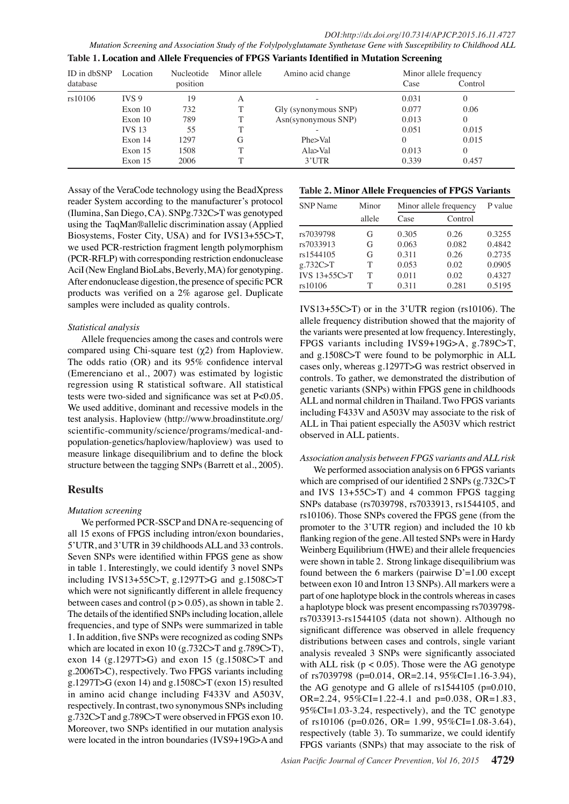*Mutation Screening and Association Study of the Folylpolyglutamate Synthetase Gene with Susceptibility to Childhood ALL* **Table 1. Location and Allele Frequencies of FPGS Variants Identified in Mutation Screening** 

| ID in dbSNP<br>database | Location         | Nucleotide<br>position | Minor allele | Amino acid change    | Minor allele frequency<br>Control<br>Case |          |  |
|-------------------------|------------------|------------------------|--------------|----------------------|-------------------------------------------|----------|--|
| rs10106                 | IVS <sub>9</sub> | 19                     | A            |                      | 0.031                                     | $\Omega$ |  |
|                         | Exon 10          | 732                    | T            | Gly (synonymous SNP) | 0.077                                     | 0.06     |  |
|                         | Exon 10          | 789                    |              | Asn(synonymous SNP)  | 0.013                                     | $\Omega$ |  |
|                         | <b>IVS 13</b>    | 55                     |              |                      | 0.051                                     | 0.015    |  |
|                         | Exon 14          | 1297                   | G            | Phe>Val              | $\Omega$                                  | 0.015    |  |
|                         | Exon 15          | 1508                   |              | Ala>Val              | 0.013                                     | $\Omega$ |  |
|                         | Exon 15          | 2006                   |              | 3'UTR                | 0.339                                     | 0.457    |  |
|                         |                  |                        |              | 100.0                |                                           |          |  |

Assay of the VeraCode technology using the BeadXpress reader System according to the manufacturer's protocol (Ilumina, San Diego, CA). SNPg.732C>T was genotyped 75.0 using the TaqMan®allelic discrimination assay (Applied Biosystems, Foster City, USA) and for IVS13+55C>T, we used PCR-restriction fragment length polymorphism  $50.0$ (PCR-RFLP) with corresponding restriction endonuclease AciI (New England BioLabs, Beverly, MA) for genotyping. After endonuclease digestion, the presence of specific PCR products was verified on a 2% agarose gel. Duplicate  $25.0$ samples were included as quality controls.

#### *Statistical analysis*

Allele frequencies among the cases and controls were compared using Chi-square test (χ2) from Haploview. The odds ratio (OR) and its 95% confidence interval (Emerenciano et al., 2007) was estimated by logistic regression using R statistical software. All statistical tests were two-sided and significance was set at P<0.05. We used additive, dominant and recessive models in the test analysis. Haploview (http://www.broadinstitute.org/ scientific-community/science/programs/medical-andpopulation-genetics/haploview/haploview) was used to measure linkage disequilibrium and to define the block structure between the tagging SNPs (Barrett et al., 2005).

### **Results**

#### *Mutation screening*

We performed PCR-SSCP and DNA re-sequencing of all 15 exons of FPGS including intron/exon boundaries, 5'UTR, and 3'UTR in 39 childhoods ALL and 33 controls. Seven SNPs were identified within FPGS gene as show in table 1. Interestingly, we could identify 3 novel SNPs including IVS13+55C>T, g.1297T>G and g.1508C>T which were not significantly different in allele frequency between cases and control  $(p > 0.05)$ , as shown in table 2. The details of the identified SNPs including location, allele frequencies, and type of SNPs were summarized in table 1. In addition, five SNPs were recognized as coding SNPs which are located in exon 10 (g.732C>T and g.789C>T), exon 14 (g.1297T>G) and exon 15 (g.1508C>T and g.2006T>C), respectively. Two FPGS variants including g.1297T>G (exon 14) and g.1508C>T (exon 15) resulted in amino acid change including F433V and A503V, respectively. In contrast, two synonymous SNPs including g.732C>T and g.789C>T were observed in FPGS exon 10. Moreover, two SNPs identified in our mutation analysis were located in the intron boundaries (IVS9+19G>A and

|                 |      |    |        |                    |                       |     |                        | Table 2. Minor Alleld Frequencies of FPGS Variants |      |
|-----------------|------|----|--------|--------------------|-----------------------|-----|------------------------|----------------------------------------------------|------|
| <b>SNP</b> Name |      |    | Minor  |                    |                       |     | Minor allele frequency | P value                                            | 30.0 |
|                 |      |    | allele |                    | Case                  |     | <b>Control</b>         |                                                    |      |
| rs70397986.3    |      |    | (46.8) |                    | 0.305                 |     | 0.26                   | 0.3255                                             |      |
| rs7033913       |      |    | G      |                    | 0.063                 |     | 0.082                  | 0.4842                                             |      |
| s1544105        |      |    | G      |                    | $0 3\overline{74.2} $ |     | 9.26                   | 0.2735                                             | 30.0 |
| g.732C>T        |      |    | T      |                    | 0.053                 |     | 0.02                   | 0.0905                                             |      |
| IVS 13+55C>T    |      |    |        |                    | 0.011                 |     | 0.02                   | 0.4327                                             |      |
| rs10106         |      |    |        |                    | 0.311                 |     | 0.281                  | 0.5195                                             |      |
| <b>IVS13</b>    | 31.3 |    | 38.0   | he<br>$\mathbf{I}$ | 23.7                  | reg | 31.3                   | 10106). The                                        | 30.0 |
| allele f        |      | cy |        | litiol             |                       | ed  |                        | majority of                                        |      |

Othe variants were presented at low frequency. Interestingly, FPGS variants incruding IVS9+19G \$A, g.789C>T, and g.15 $\&C>T$  were found to be polymorphic in ALL cases only whereas  $\frac{1}{2}$ .1297T> $\frac{1}{2}$  was restrict observed in controls. To gather, we demonstrated the distribution of genetic variants (SNPs) within FPGS gene in childhoods ALL and Formal children in Thailand. Two FPGS variants including  $\frac{1}{2}433V$  and A503V rigally associate to the risk of ALL in Thai patient especially the A503V which restrict observed  $\frac{a}{b}$  ALL patients. Rewly diagnosed without the treatment Newly diagnosed with treatment Persistence or recurrence Remission

None

*Association analysis between FPGS variants and ALL risk* We performed association analysis on 6 FPGS variants which are comprised of our identified 2 SNPs (g.732C>T and IVS 13+55C>T) and 4 common FPGS tagging SNPs database (rs7039798, rs7033913, rs1544105, and rs10106). Those SNPs covered the FPGS gene (from the promoter to the 3'UTR region) and included the 10 kb flanking region of the gene. All tested SNPs were in Hardy Weinberg Equilibrium (HWE) and their allele frequencies were shown in table 2. Strong linkage disequilibrium was found between the 6 markers (pairwise  $D'=1.00$  except between exon 10 and Intron 13 SNPs). All markers were a part of one haplotype block in the controls whereas in cases a haplotype block was present encompassing rs7039798 rs7033913-rs1544105 (data not shown). Although no significant difference was observed in allele frequency distributions between cases and controls, single variant analysis revealed 3 SNPs were significantly associated with ALL risk ( $p < 0.05$ ). Those were the AG genotype of rs7039798 (p=0.014, OR=2.14, 95%CI=1.16-3.94), the AG genotype and G allele of rs1544105 (p=0.010, OR=2.24, 95%CI=1.22-4.1 and p=0.038, OR=1.83, 95%CI=1.03-3.24, respectively), and the TC genotype of rs10106 (p=0.026, OR= 1.99, 95%CI=1.08-3.64), respectively (table 3). To summarize, we could identify FPGS variants (SNPs) that may associate to the risk of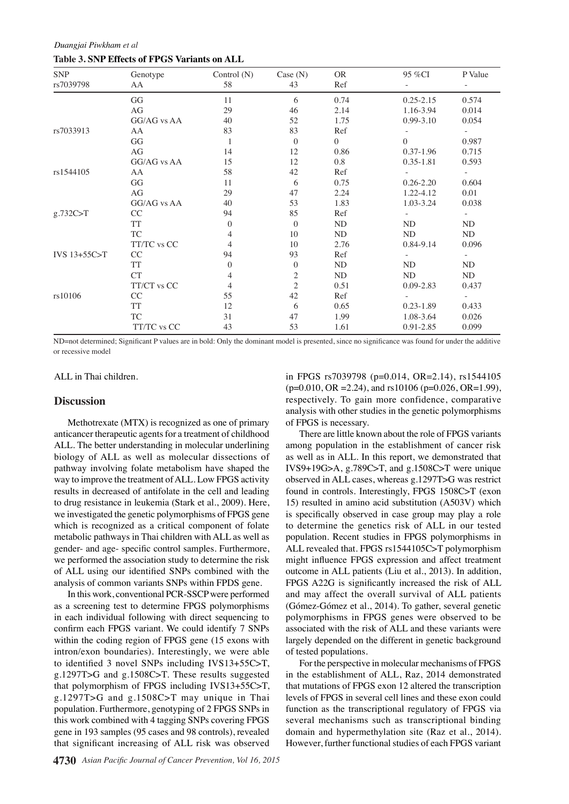*Duangjai Piwkham et al* **Table 3. SNP Effects of FPGS Variants on ALL**

| <b>SNP</b><br>rs7039798 | Genotype<br>AA | Control $(N)$<br>58 | Case $(N)$<br>43        | <b>OR</b><br>Ref | 95 %CI        | P Value |
|-------------------------|----------------|---------------------|-------------------------|------------------|---------------|---------|
|                         | GG             | 11                  | 6                       | 0.74             | $0.25 - 2.15$ | 0.574   |
|                         | AG             | 29                  | 46                      | 2.14             | 1.16-3.94     | 0.014   |
|                         | GG/AG vs AA    | 40                  | 52                      | 1.75             | $0.99 - 3.10$ | 0.054   |
| rs7033913               | AA             | 83                  | 83                      | Ref              |               |         |
|                         | GG             |                     | $\overline{0}$          | $\Omega$         | $\Omega$      | 0.987   |
|                         | AG             | 14                  | 12                      | 0.86             | $0.37 - 1.96$ | 0.715   |
|                         | GG/AG vs AA    | 15                  | 12                      | 0.8              | $0.35 - 1.81$ | 0.593   |
| rs1544105               | AA             | 58                  | 42                      | Ref              |               |         |
|                         | GG             | 11                  | 6                       | 0.75             | $0.26 - 2.20$ | 0.604   |
|                         | AG             | 29                  | 47                      | 2.24             | 1.22-4.12     | 0.01    |
|                         | GG/AG vs AA    | 40                  | 53                      | 1.83             | 1.03-3.24     | 0.038   |
| g.732C>T                | CC             | 94                  | 85                      | Ref              |               |         |
|                         | <b>TT</b>      | $\theta$            | $\overline{0}$          | ND               | ND            | ND      |
|                         | ${\rm TC}$     | 4                   | 10                      | ND               | ND            | ND      |
|                         | TT/TC vs CC    | 4                   | 10                      | 2.76             | 0.84-9.14     | 0.096   |
| IVS 13+55C>T            | CC             | 94                  | 93                      | Ref              |               |         |
|                         | TT             | $\theta$            | $\mathbf{0}$            | ND               | ND            | ND      |
|                         | CT             | 4                   | $\overline{\mathbf{c}}$ | ND               | ND            | ND      |
|                         | TT/CT vs CC    | 4                   | $\overline{c}$          | 0.51             | 0.09-2.83     | 0.437   |
| rs10106                 | CC             | 55                  | 42                      | Ref              |               |         |
|                         | <b>TT</b>      | 12                  | 6                       | 0.65             | $0.23 - 1.89$ | 0.433   |
|                         | TC             | 31                  | 47                      | 1.99             | 1.08-3.64     | 0.026   |
|                         | TT/TC vs CC    | 43                  | 53                      | 1.61             | 0.91-2.85     | 0.099   |

ND=not determined; Significant P values are in bold: Only the dominant model is presented, since no significance was found for under the additive or recessive model

ALL in Thai children.

#### **Discussion**

Methotrexate (MTX) is recognized as one of primary anticancer therapeutic agents for a treatment of childhood ALL. The better understanding in molecular underlining biology of ALL as well as molecular dissections of pathway involving folate metabolism have shaped the way to improve the treatment of ALL. Low FPGS activity results in decreased of antifolate in the cell and leading to drug resistance in leukemia (Stark et al., 2009). Here, we investigated the genetic polymorphisms of FPGS gene which is recognized as a critical component of folate metabolic pathways in Thai children with ALL as well as gender- and age- specific control samples. Furthermore, we performed the association study to determine the risk of ALL using our identified SNPs combined with the analysis of common variants SNPs within FPDS gene.

In this work, conventional PCR-SSCP were performed as a screening test to determine FPGS polymorphisms in each individual following with direct sequencing to confirm each FPGS variant. We could identify 7 SNPs within the coding region of FPGS gene (15 exons with intron/exon boundaries). Interestingly, we were able to identified 3 novel SNPs including IVS13+55C>T, g.1297T>G and g.1508C>T. These results suggested that polymorphism of FPGS including IVS13+55C>T, g.1297T>G and g.1508C>T may unique in Thai population. Furthermore, genotyping of 2 FPGS SNPs in this work combined with 4 tagging SNPs covering FPGS gene in 193 samples (95 cases and 98 controls), revealed that significant increasing of ALL risk was observed

in FPGS rs7039798 (p=0.014, OR=2.14), rs1544105  $(p=0.010, \text{OR} = 2.24)$ , and rs10106 (p=0.026, OR=1.99), respectively. To gain more confidence, comparative analysis with other studies in the genetic polymorphisms of FPGS is necessary.

There are little known about the role of FPGS variants among population in the establishment of cancer risk as well as in ALL. In this report, we demonstrated that IVS9+19G>A, g.789C>T, and g.1508C>T were unique observed in ALL cases, whereas g.1297T>G was restrict found in controls. Interestingly, FPGS 1508C>T (exon 15) resulted in amino acid substitution (A503V) which is specifically observed in case group may play a role to determine the genetics risk of ALL in our tested population. Recent studies in FPGS polymorphisms in ALL revealed that. FPGS rs1544105C>T polymorphism might influence FPGS expression and affect treatment outcome in ALL patients (Liu et al., 2013). In addition, FPGS A22G is significantly increased the risk of ALL and may affect the overall survival of ALL patients (Gómez-Gómez et al., 2014). To gather, several genetic polymorphisms in FPGS genes were observed to be associated with the risk of ALL and these variants were largely depended on the different in genetic background of tested populations.

For the perspective in molecular mechanisms of FPGS in the establishment of ALL, Raz, 2014 demonstrated that mutations of FPGS exon 12 altered the transcription levels of FPGS in several cell lines and these exon could function as the transcriptional regulatory of FPGS via several mechanisms such as transcriptional binding domain and hypermethylation site (Raz et al., 2014). However, further functional studies of each FPGS variant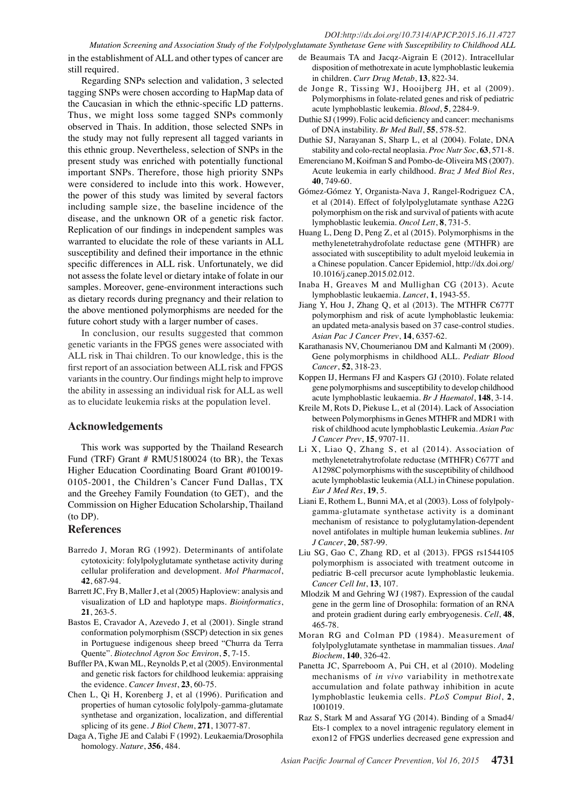#### *DOI:http://dx.doi.org/10.7314/APJCP.2015.16.11.4727*

*Mutation Screening and Association Study of the Folylpolyglutamate Synthetase Gene with Susceptibility to Childhood ALL* in the establishment of ALL and other types of cancer are

Regarding SNPs selection and validation, 3 selected tagging SNPs were chosen according to HapMap data of the Caucasian in which the ethnic-specific LD patterns. Thus, we might loss some tagged SNPs commonly observed in Thais. In addition, those selected SNPs in the study may not fully represent all tagged variants in this ethnic group. Nevertheless, selection of SNPs in the present study was enriched with potentially functional important SNPs. Therefore, those high priority SNPs were considered to include into this work. However, the power of this study was limited by several factors including sample size, the baseline incidence of the disease, and the unknown OR of a genetic risk factor. Replication of our findings in independent samples was warranted to elucidate the role of these variants in ALL susceptibility and defined their importance in the ethnic specific differences in ALL risk. Unfortunately, we did not assess the folate level or dietary intake of folate in our samples. Moreover, gene-environment interactions such as dietary records during pregnancy and their relation to the above mentioned polymorphisms are needed for the future cohort study with a larger number of cases.

In conclusion, our results suggested that common genetic variants in the FPGS genes were associated with ALL risk in Thai children. To our knowledge, this is the first report of an association between ALL risk and FPGS variants in the country. Our findings might help to improve the ability in assessing an individual risk for ALL as well as to elucidate leukemia risks at the population level.

### **Acknowledgements**

still required.

This work was supported by the Thailand Research Fund (TRF) Grant # RMU5180024 (to BR), the Texas Higher Education Coordinating Board Grant #010019- 0105-2001, the Children's Cancer Fund Dallas, TX and the Greehey Family Foundation (to GET), and the Commission on Higher Education Scholarship, Thailand (to DP).

#### **References**

- Barredo J, Moran RG (1992). Determinants of antifolate cytotoxicity: folylpolyglutamate synthetase activity during cellular proliferation and development. *Mol Pharmacol*, **42**, 687-94.
- Barrett JC, Fry B, Maller J, et al (2005) Haploview: analysis and visualization of LD and haplotype maps. *Bioinformatics*, **21**, 263-5.
- Bastos E, Cravador A, Azevedo J, et al (2001). Single strand conformation polymorphism (SSCP) detection in six genes in Portuguese indigenous sheep breed "Churra da Terra Quente". *Biotechnol Agron Soc Environ*, **5**, 7-15.
- Buffler PA, Kwan ML, Reynolds P, et al (2005). Environmental and genetic risk factors for childhood leukemia: appraising the evidence. *Cancer Invest*, **23**, 60-75.
- Chen L, Qi H, Korenberg J, et al (1996). Purification and properties of human cytosolic folylpoly-gamma-glutamate synthetase and organization, localization, and differential splicing of its gene. *J Biol Chem*, **271**, 13077-87.
- Daga A, Tighe JE and Calabi F (1992). Leukaemia/Drosophila homology. *Nature*, **356**, 484.
- de Beaumais TA and Jacqz-Aigrain E (2012). Intracellular disposition of methotrexate in acute lymphoblastic leukemia in children. *Curr Drug Metab*, **13**, 822-34.
- de Jonge R, Tissing WJ, Hooijberg JH, et al (2009). Polymorphisms in folate-related genes and risk of pediatric acute lymphoblastic leukemia. *Blood*, **5**, 2284-9.
- Duthie SJ (1999). Folic acid deficiency and cancer: mechanisms of DNA instability. *Br Med Bull*, **55**, 578-52.
- Duthie SJ, Narayanan S, Sharp L, et al (2004). Folate, DNA stability and colo-rectal neoplasia. *Proc Nutr Soc*, **63**, 571-8.
- Emerenciano M, Koifman S and Pombo-de-Oliveira MS (2007). Acute leukemia in early childhood. *Braz J Med Biol Res*, **40**, 749-60.
- Gómez-Gómez Y, Organista-Nava J, Rangel-Rodriguez CA, et al (2014). Effect of folylpolyglutamate synthase A22G polymorphism on the risk and survival of patients with acute lymphoblastic leukemia. *Oncol Lett*, **8**, 731-5.
- Huang L, Deng D, Peng Z, et al (2015). Polymorphisms in the methylenetetrahydrofolate reductase gene (MTHFR) are associated with susceptibility to adult myeloid leukemia in a Chinese population. Cancer Epidemiol, http://dx.doi.org/ 10.1016/j.canep.2015.02.012.
- Inaba H, Greaves M and Mullighan CG (2013). Acute lymphoblastic leukaemia. *Lancet*, **1**, 1943-55.
- Jiang Y, Hou J, Zhang Q, et al (2013). The MTHFR C677T polymorphism and risk of acute lymphoblastic leukemia: an updated meta-analysis based on 37 case-control studies. *Asian Pac J Cancer Prev*, **14**, 6357-62.
- Karathanasis NV, Choumerianou DM and Kalmanti M (2009). Gene polymorphisms in childhood ALL. *Pediatr Blood Cancer*, **52**, 318-23.
- Koppen IJ, Hermans FJ and Kaspers GJ (2010). Folate related gene polymorphisms and susceptibility to develop childhood acute lymphoblastic leukaemia. *Br J Haematol*, **148**, 3-14.
- Kreile M, Rots D, Piekuse L, et al (2014). Lack of Association between Polymorphisms in Genes MTHFR and MDR1 with risk of childhood acute lymphoblastic Leukemia. *Asian Pac J Cancer Prev*, **15**, 9707-11.
- Li X, Liao Q, Zhang S, et al (2014). Association of methylenetetrahytrofolate reductase (MTHFR) C677T and A1298C polymorphisms with the susceptibility of childhood acute lymphoblastic leukemia (ALL) in Chinese population. *Eur J Med Res*, **19**, 5.
- Liani E, Rothem L, Bunni MA, et al (2003). Loss of folylpolygamma-glutamate synthetase activity is a dominant mechanism of resistance to polyglutamylation-dependent novel antifolates in multiple human leukemia sublines. *Int J Cancer*, **20**, 587-99.
- Liu SG, Gao C, Zhang RD, et al (2013). FPGS rs1544105 polymorphism is associated with treatment outcome in pediatric B-cell precursor acute lymphoblastic leukemia. *Cancer Cell Int*, **13**, 107.
- Mlodzik M and Gehring WJ (1987). Expression of the caudal gene in the germ line of Drosophila: formation of an RNA and protein gradient during early embryogenesis. *Cell*, **48**, 465-78.
- Moran RG and Colman PD (1984). Measurement of folylpolyglutamate synthetase in mammalian tissues. *Anal Biochem*, **140**, 326-42.
- Panetta JC, Sparreboom A, Pui CH, et al (2010). Modeling mechanisms of *in vivo* variability in methotrexate accumulation and folate pathway inhibition in acute lymphoblastic leukemia cells. *PLoS Comput Biol*, **2**, 1001019.
- Raz S, Stark M and Assaraf YG (2014). Binding of a Smad4/ Ets-1 complex to a novel intragenic regulatory element in exon12 of FPGS underlies decreased gene expression and